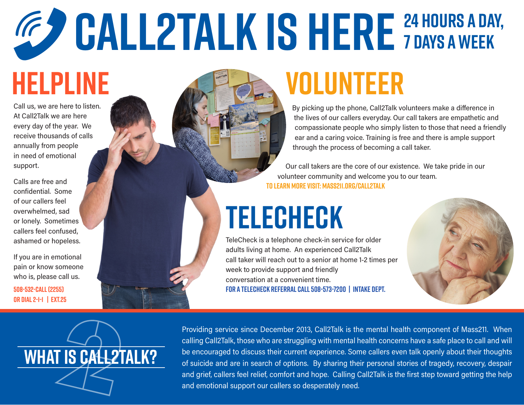## **CALL2TALK IS HERE 24 HOURS A DAY, 7 DAYS A WEEK**

# **HELPLINE**

Call us, we are here to listen. At Call2Talk we are here every day of the year. We receive thousands of calls annually from people in need of emotional support.

Calls are free and confidential. Some of our callers feel overwhelmed, sad or lonely. Sometimes callers feel confused, ashamed or hopeless.

If you are in emotional pain or know someone who is, please call us.

**508-532-CALL (2255) or dial 2-1-1 | Ext.25**

# **VOLUNTEER**

By picking up the phone, Call2Talk volunteers make a difference in the lives of our callers everyday. Our call takers are empathetic and compassionate people who simply listen to those that need a friendly ear and a caring voice. Training is free and there is ample support through the process of becoming a call taker.

Our call takers are the core of our existence. We take pride in our volunteer community and welcome you to our team. **TO Learn more visit: mass211.org/call2talk**

# **TELECHECK**

TeleCheck is a telephone check-in service for older adults living at home. An experienced Call2Talk call taker will reach out to a senior at home 1-2 times per week to provide support and friendly conversation at a convenient time. **For A Telecheck Referral CALL 508-573-7200 | Intake dept.**





Providing service since December 2013, Call2Talk is the mental health component of Mass211. When calling Call2Talk, those who are struggling with mental health concerns have a safe place to call and will be encouraged to discuss their current experience. Some callers even talk openly about their thoughts of suicide and are in search of options. By sharing their personal stories of tragedy, recovery, despair and grief, callers feel relief, comfort and hope. Calling Call2Talk is the first step toward getting the help and emotional support our callers so desperately need.